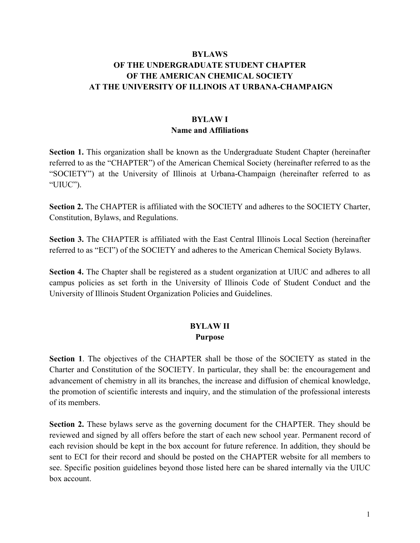## **BYLAWS OF THE UNDERGRADUATE STUDENT CHAPTER OF THE AMERICAN CHEMICAL SOCIETY AT THE UNIVERSITY OF ILLINOIS AT URBANA-CHAMPAIGN**

# **BYLAW I Name and Affiliations**

**Section 1.** This organization shall be known as the Undergraduate Student Chapter (hereinafter referred to as the "CHAPTER") of the American Chemical Society (hereinafter referred to as the "SOCIETY") at the University of Illinois at Urbana-Champaign (hereinafter referred to as "UIUC").

**Section 2.** The CHAPTER is affiliated with the SOCIETY and adheres to the SOCIETY Charter, Constitution, Bylaws, and Regulations.

**Section 3.** The CHAPTER is affiliated with the East Central Illinois Local Section (hereinafter referred to as "ECI") of the SOCIETY and adheres to the American Chemical Society Bylaws.

**Section 4.** The Chapter shall be registered as a student organization at UIUC and adheres to all campus policies as set forth in the University of Illinois Code of Student Conduct and the University of Illinois Student Organization Policies and Guidelines.

### **BYLAW II Purpose**

**Section 1**. The objectives of the CHAPTER shall be those of the SOCIETY as stated in the Charter and Constitution of the SOCIETY. In particular, they shall be: the encouragement and advancement of chemistry in all its branches, the increase and diffusion of chemical knowledge, the promotion of scientific interests and inquiry, and the stimulation of the professional interests of its members.

**Section 2.** These bylaws serve as the governing document for the CHAPTER. They should be reviewed and signed by all offers before the start of each new school year. Permanent record of each revision should be kept in the box account for future reference. In addition, they should be sent to ECI for their record and should be posted on the CHAPTER website for all members to see. Specific position guidelines beyond those listed here can be shared internally via the UIUC box account.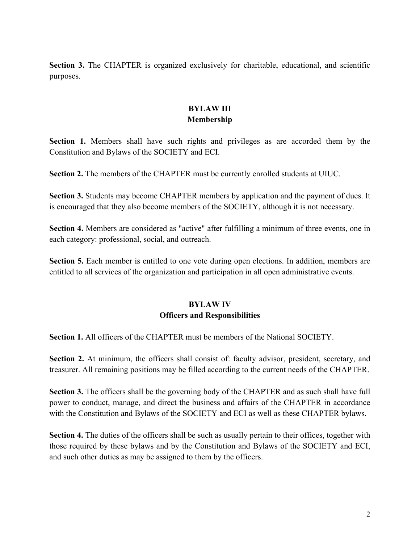**Section 3.** The CHAPTER is organized exclusively for charitable, educational, and scientific purposes.

## **BYLAW III Membership**

**Section 1.** Members shall have such rights and privileges as are accorded them by the Constitution and Bylaws of the SOCIETY and ECI.

**Section 2.** The members of the CHAPTER must be currently enrolled students at UIUC.

**Section 3.** Students may become CHAPTER members by application and the payment of dues. It is encouraged that they also become members of the SOCIETY, although it is not necessary.

**Section 4.** Members are considered as "active" after fulfilling a minimum of three events, one in each category: professional, social, and outreach.

**Section 5.** Each member is entitled to one vote during open elections. In addition, members are entitled to all services of the organization and participation in all open administrative events.

# **BYLAW IV Officers and Responsibilities**

**Section 1.** All officers of the CHAPTER must be members of the National SOCIETY.

**Section 2.** At minimum, the officers shall consist of: faculty advisor, president, secretary, and treasurer. All remaining positions may be filled according to the current needs of the CHAPTER.

**Section 3.** The officers shall be the governing body of the CHAPTER and as such shall have full power to conduct, manage, and direct the business and affairs of the CHAPTER in accordance with the Constitution and Bylaws of the SOCIETY and ECI as well as these CHAPTER bylaws.

**Section 4.** The duties of the officers shall be such as usually pertain to their offices, together with those required by these bylaws and by the Constitution and Bylaws of the SOCIETY and ECI, and such other duties as may be assigned to them by the officers.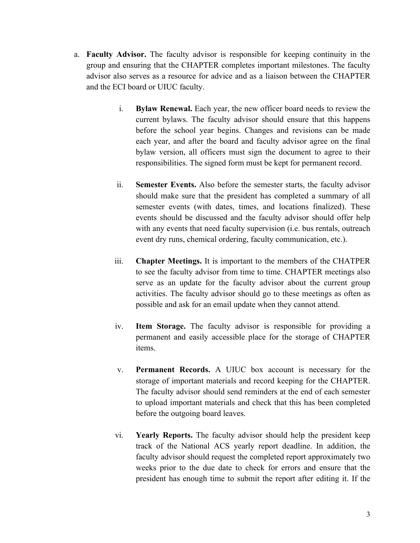- a. **Faculty Advisor.** The faculty advisor is responsible for keeping continuity in the group and ensuring that the CHAPTER completes important milestones. The faculty advisor also serves as a resource for advice and as a liaison between the CHAPTER and the ECI board or UIUC faculty.
	- i. **Bylaw Renewal.** Each year, the new officer board needs to review the current bylaws. The faculty advisor should ensure that this happens before the school year begins. Changes and revisions can be made each year, and after the board and faculty advisor agree on the final bylaw version, all officers must sign the document to agree to their responsibilities. The signed form must be kept for permanent record.
	- ii. **Semester Events.** Also before the semester starts, the faculty advisor should make sure that the president has completed a summary of all semester events (with dates, times, and locations finalized). These events should be discussed and the faculty advisor should offer help with any events that need faculty supervision *(i.e. bus rentals, outreach*) event dry runs, chemical ordering, faculty communication, etc.).
	- iii. **Chapter Meetings.** It is important to the members of the CHATPER to see the faculty advisor from time to time. CHAPTER meetings also serve as an update for the faculty advisor about the current group activities. The faculty advisor should go to these meetings as often as possible and ask for an email update when they cannot attend.
	- iv. **Item Storage.** The faculty advisor is responsible for providing a permanent and easily accessible place for the storage of CHAPTER items.
	- v. **Permanent Records.** A UIUC box account is necessary for the storage of important materials and record keeping for the CHAPTER. The faculty advisor should send reminders at the end of each semester to upload important materials and check that this has been completed before the outgoing board leaves.
	- vi. **Yearly Reports.** The faculty advisor should help the president keep track of the National ACS yearly report deadline. In addition, the faculty advisor should request the completed report approximately two weeks prior to the due date to check for errors and ensure that the president has enough time to submit the report after editing it. If the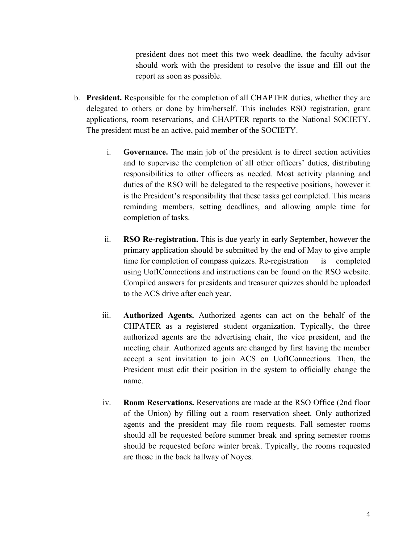president does not meet this two week deadline, the faculty advisor should work with the president to resolve the issue and fill out the report as soon as possible.

- b. **President.** Responsible for the completion of all CHAPTER duties, whether they are delegated to others or done by him/herself. This includes RSO registration, grant applications, room reservations, and CHAPTER reports to the National SOCIETY. The president must be an active, paid member of the SOCIETY.
	- i. **Governance.** The main job of the president is to direct section activities and to supervise the completion of all other officers' duties, distributing responsibilities to other officers as needed. Most activity planning and duties of the RSO will be delegated to the respective positions, however it is the President's responsibility that these tasks get completed. This means reminding members, setting deadlines, and allowing ample time for completion of tasks.
	- ii. **RSO Re-registration.** This is due yearly in early September, however the primary application should be submitted by the end of May to give ample time for completion of compass quizzes. Re-registration is completed using UofIConnections and instructions can be found on the RSO website. Compiled answers for presidents and treasurer quizzes should be uploaded to the ACS drive after each year.
	- iii. **Authorized Agents.** Authorized agents can act on the behalf of the CHPATER as a registered student organization. Typically, the three authorized agents are the advertising chair, the vice president, and the meeting chair. Authorized agents are changed by first having the member accept a sent invitation to join ACS on UofIConnections. Then, the President must edit their position in the system to officially change the name.
	- iv. **Room Reservations.** Reservations are made at the RSO Office (2nd floor of the Union) by filling out a room reservation sheet. Only authorized agents and the president may file room requests. Fall semester rooms should all be requested before summer break and spring semester rooms should be requested before winter break. Typically, the rooms requested are those in the back hallway of Noyes.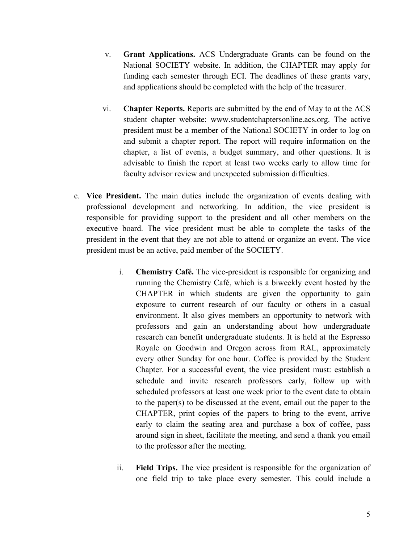- v. **Grant Applications.** ACS Undergraduate Grants can be found on the National SOCIETY website. In addition, the CHAPTER may apply for funding each semester through ECI. The deadlines of these grants vary, and applications should be completed with the help of the treasurer.
- vi. **Chapter Reports.** Reports are submitted by the end of May to at the ACS student chapter website: www.studentchaptersonline.acs.org. The active president must be a member of the National SOCIETY in order to log on and submit a chapter report. The report will require information on the chapter, a list of events, a budget summary, and other questions. It is advisable to finish the report at least two weeks early to allow time for faculty advisor review and unexpected submission difficulties.
- c. **Vice President.** The main duties include the organization of events dealing with professional development and networking. In addition, the vice president is responsible for providing support to the president and all other members on the executive board. The vice president must be able to complete the tasks of the president in the event that they are not able to attend or organize an event. The vice president must be an active, paid member of the SOCIETY.
	- i. **Chemistry Café.** The vice-president is responsible for organizing and running the Chemistry Café, which is a biweekly event hosted by the CHAPTER in which students are given the opportunity to gain exposure to current research of our faculty or others in a casual environment. It also gives members an opportunity to network with professors and gain an understanding about how undergraduate research can benefit undergraduate students. It is held at the Espresso Royale on Goodwin and Oregon across from RAL, approximately every other Sunday for one hour. Coffee is provided by the Student Chapter. For a successful event, the vice president must: establish a schedule and invite research professors early, follow up with scheduled professors at least one week prior to the event date to obtain to the paper(s) to be discussed at the event, email out the paper to the CHAPTER, print copies of the papers to bring to the event, arrive early to claim the seating area and purchase a box of coffee, pass around sign in sheet, facilitate the meeting, and send a thank you email to the professor after the meeting.
	- ii. **Field Trips.** The vice president is responsible for the organization of one field trip to take place every semester. This could include a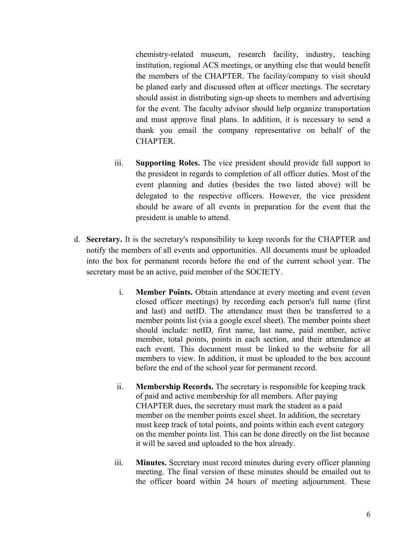chemistry-related museum, research facility, industry, teaching institution, regional ACS meetings, or anything else that would benefit the members of the CHAPTER. The facility/company to visit should be planed early and discussed often at officer meetings. The secretary should assist in distributing sign-up sheets to members and advertising for the event. The faculty advisor should help organize transportation and must approve final plans. In addition, it is necessary to send a thank you email the company representative on behalf of the **CHAPTER** 

- iii. **Supporting Roles.** The vice president should provide full support to the president in regards to completion of all officer duties. Most of the event planning and duties (besides the two listed above) will be delegated to the respective officers. However, the vice president should be aware of all events in preparation for the event that the president is unable to attend.
- d. **Secretary.** It is the secretary's responsibility to keep records for the CHAPTER and notify the members of all events and opportunities. All documents must be uploaded into the box for permanent records before the end of the current school year. The secretary must be an active, paid member of the SOCIETY.
	- i. **Member Points.** Obtain attendance at every meeting and event (even closed officer meetings) by recording each person's full name (first and last) and netID. The attendance must then be transferred to a member points list (via a google excel sheet). The member points sheet should include: netID, first name, last name, paid member, active member, total points, points in each section, and their attendance at each event. This document must be linked to the website for all members to view. In addition, it must be uploaded to the box account before the end of the school year for permanent record.
	- ii. **Membership Records.** The secretary is responsible for keeping track of paid and active membership for all members. After paying CHAPTER dues, the secretary must mark the student as a paid member on the member points excel sheet. In addition, the secretary must keep track of total points, and points within each event category on the member points list. This can be done directly on the list because it will be saved and uploaded to the box already.
	- iii. **Minutes.** Secretary must record minutes during every officer planning meeting. The final version of these minutes should be emailed out to the officer board within 24 hours of meeting adjournment. These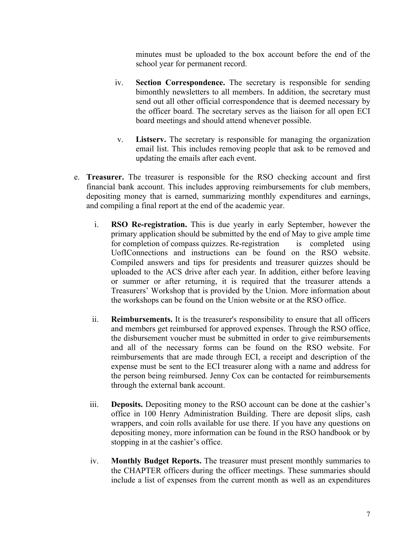minutes must be uploaded to the box account before the end of the school year for permanent record.

- iv. **Section Correspondence.** The secretary is responsible for sending bimonthly newsletters to all members. In addition, the secretary must send out all other official correspondence that is deemed necessary by the officer board. The secretary serves as the liaison for all open ECI board meetings and should attend whenever possible.
	- v. **Listserv.** The secretary is responsible for managing the organization email list. This includes removing people that ask to be removed and updating the emails after each event.
- e. **Treasurer.** The treasurer is responsible for the RSO checking account and first financial bank account. This includes approving reimbursements for club members, depositing money that is earned, summarizing monthly expenditures and earnings, and compiling a final report at the end of the academic year.
	- i. **RSO Re-registration.** This is due yearly in early September, however the primary application should be submitted by the end of May to give ample time for completion of compass quizzes. Re-registration is completed using UofIConnections and instructions can be found on the RSO website. Compiled answers and tips for presidents and treasurer quizzes should be uploaded to the ACS drive after each year. In addition, either before leaving or summer or after returning, it is required that the treasurer attends a Treasurers' Workshop that is provided by the Union. More information about the workshops can be found on the Union website or at the RSO office.
	- ii. **Reimbursements.** It is the treasurer's responsibility to ensure that all officers and members get reimbursed for approved expenses. Through the RSO office, the disbursement voucher must be submitted in order to give reimbursements and all of the necessary forms can be found on the RSO website. For reimbursements that are made through ECI, a receipt and description of the expense must be sent to the ECI treasurer along with a name and address for the person being reimbursed. Jenny Cox can be contacted for reimbursements through the external bank account.
	- iii. **Deposits.** Depositing money to the RSO account can be done at the cashier's office in 100 Henry Administration Building. There are deposit slips, cash wrappers, and coin rolls available for use there. If you have any questions on depositing money, more information can be found in the RSO handbook or by stopping in at the cashier's office.
	- iv. **Monthly Budget Reports.** The treasurer must present monthly summaries to the CHAPTER officers during the officer meetings. These summaries should include a list of expenses from the current month as well as an expenditures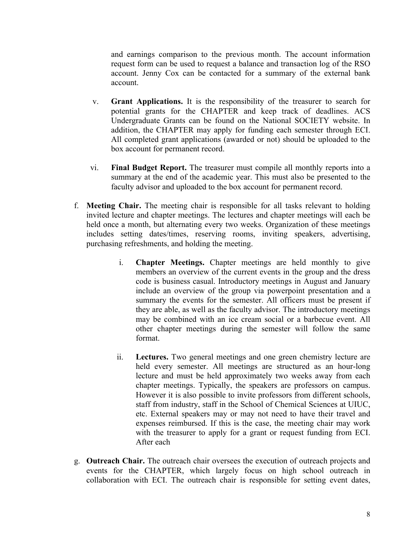and earnings comparison to the previous month. The account information request form can be used to request a balance and transaction log of the RSO account. Jenny Cox can be contacted for a summary of the external bank account.

- v. **Grant Applications.** It is the responsibility of the treasurer to search for potential grants for the CHAPTER and keep track of deadlines. ACS Undergraduate Grants can be found on the National SOCIETY website. In addition, the CHAPTER may apply for funding each semester through ECI. All completed grant applications (awarded or not) should be uploaded to the box account for permanent record.
- vi. **Final Budget Report.** The treasurer must compile all monthly reports into a summary at the end of the academic year. This must also be presented to the faculty advisor and uploaded to the box account for permanent record.
- f. **Meeting Chair.** The meeting chair is responsible for all tasks relevant to holding invited lecture and chapter meetings. The lectures and chapter meetings will each be held once a month, but alternating every two weeks. Organization of these meetings includes setting dates/times, reserving rooms, inviting speakers, advertising, purchasing refreshments, and holding the meeting.
	- i. **Chapter Meetings.** Chapter meetings are held monthly to give members an overview of the current events in the group and the dress code is business casual. Introductory meetings in August and January include an overview of the group via powerpoint presentation and a summary the events for the semester. All officers must be present if they are able, as well as the faculty advisor. The introductory meetings may be combined with an ice cream social or a barbecue event. All other chapter meetings during the semester will follow the same format.
	- ii. **Lectures.** Two general meetings and one green chemistry lecture are held every semester. All meetings are structured as an hour-long lecture and must be held approximately two weeks away from each chapter meetings. Typically, the speakers are professors on campus. However it is also possible to invite professors from different schools, staff from industry, staff in the School of Chemical Sciences at UIUC, etc. External speakers may or may not need to have their travel and expenses reimbursed. If this is the case, the meeting chair may work with the treasurer to apply for a grant or request funding from ECI. After each
- g. **Outreach Chair.** The outreach chair oversees the execution of outreach projects and events for the CHAPTER, which largely focus on high school outreach in collaboration with ECI. The outreach chair is responsible for setting event dates,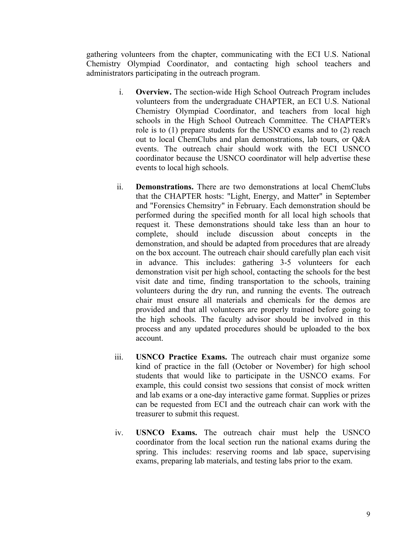gathering volunteers from the chapter, communicating with the ECI U.S. National Chemistry Olympiad Coordinator, and contacting high school teachers and administrators participating in the outreach program.

- i. **Overview.** The section-wide High School Outreach Program includes volunteers from the undergraduate CHAPTER, an ECI U.S. National Chemistry Olympiad Coordinator, and teachers from local high schools in the High School Outreach Committee. The CHAPTER's role is to (1) prepare students for the USNCO exams and to (2) reach out to local ChemClubs and plan demonstrations, lab tours, or Q&A events. The outreach chair should work with the ECI USNCO coordinator because the USNCO coordinator will help advertise these events to local high schools.
- ii. **Demonstrations.** There are two demonstrations at local ChemClubs that the CHAPTER hosts: "Light, Energy, and Matter" in September and "Forensics Chemsitry" in February. Each demonstration should be performed during the specified month for all local high schools that request it. These demonstrations should take less than an hour to complete, should include discussion about concepts in the demonstration, and should be adapted from procedures that are already on the box account. The outreach chair should carefully plan each visit in advance. This includes: gathering 3-5 volunteers for each demonstration visit per high school, contacting the schools for the best visit date and time, finding transportation to the schools, training volunteers during the dry run, and running the events. The outreach chair must ensure all materials and chemicals for the demos are provided and that all volunteers are properly trained before going to the high schools. The faculty advisor should be involved in this process and any updated procedures should be uploaded to the box account.
- iii. **USNCO Practice Exams.** The outreach chair must organize some kind of practice in the fall (October or November) for high school students that would like to participate in the USNCO exams. For example, this could consist two sessions that consist of mock written and lab exams or a one-day interactive game format. Supplies or prizes can be requested from ECI and the outreach chair can work with the treasurer to submit this request.
- iv. **USNCO Exams.** The outreach chair must help the USNCO coordinator from the local section run the national exams during the spring. This includes: reserving rooms and lab space, supervising exams, preparing lab materials, and testing labs prior to the exam.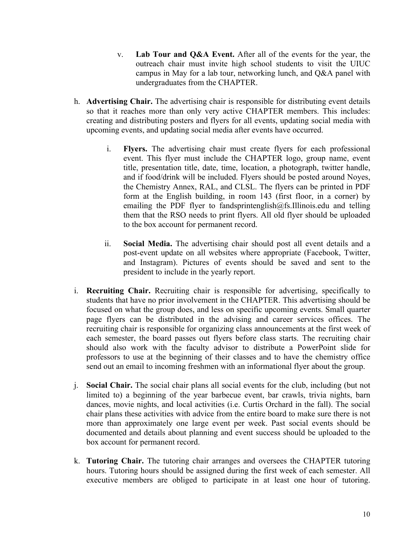- v. **Lab Tour and Q&A Event.** After all of the events for the year, the outreach chair must invite high school students to visit the UIUC campus in May for a lab tour, networking lunch, and Q&A panel with undergraduates from the CHAPTER.
- h. **Advertising Chair.** The advertising chair is responsible for distributing event details so that it reaches more than only very active CHAPTER members. This includes: creating and distributing posters and flyers for all events, updating social media with upcoming events, and updating social media after events have occurred.
	- i. **Flyers.** The advertising chair must create flyers for each professional event. This flyer must include the CHAPTER logo, group name, event title, presentation title, date, time, location, a photograph, twitter handle, and if food/drink will be included. Flyers should be posted around Noyes, the Chemistry Annex, RAL, and CLSL. The flyers can be printed in PDF form at the English building, in room 143 (first floor, in a corner) by emailing the PDF flyer to fandsprintenglish@fs.Illinois.edu and telling them that the RSO needs to print flyers. All old flyer should be uploaded to the box account for permanent record.
	- ii. **Social Media.** The advertising chair should post all event details and a post-event update on all websites where appropriate (Facebook, Twitter, and Instagram). Pictures of events should be saved and sent to the president to include in the yearly report.
- i. **Recruiting Chair.** Recruiting chair is responsible for advertising, specifically to students that have no prior involvement in the CHAPTER. This advertising should be focused on what the group does, and less on specific upcoming events. Small quarter page flyers can be distributed in the advising and career services offices. The recruiting chair is responsible for organizing class announcements at the first week of each semester, the board passes out flyers before class starts. The recruiting chair should also work with the faculty advisor to distribute a PowerPoint slide for professors to use at the beginning of their classes and to have the chemistry office send out an email to incoming freshmen with an informational flyer about the group.
- j. **Social Chair.** The social chair plans all social events for the club, including (but not limited to) a beginning of the year barbecue event, bar crawls, trivia nights, barn dances, movie nights, and local activities (i.e. Curtis Orchard in the fall). The social chair plans these activities with advice from the entire board to make sure there is not more than approximately one large event per week. Past social events should be documented and details about planning and event success should be uploaded to the box account for permanent record.
- k. **Tutoring Chair.** The tutoring chair arranges and oversees the CHAPTER tutoring hours. Tutoring hours should be assigned during the first week of each semester. All executive members are obliged to participate in at least one hour of tutoring.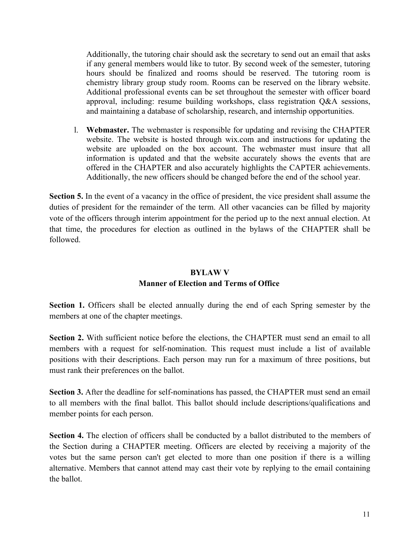Additionally, the tutoring chair should ask the secretary to send out an email that asks if any general members would like to tutor. By second week of the semester, tutoring hours should be finalized and rooms should be reserved. The tutoring room is chemistry library group study room. Rooms can be reserved on the library website. Additional professional events can be set throughout the semester with officer board approval, including: resume building workshops, class registration Q&A sessions, and maintaining a database of scholarship, research, and internship opportunities.

l. **Webmaster.** The webmaster is responsible for updating and revising the CHAPTER website. The website is hosted through wix.com and instructions for updating the website are uploaded on the box account. The webmaster must insure that all information is updated and that the website accurately shows the events that are offered in the CHAPTER and also accurately highlights the CAPTER achievements. Additionally, the new officers should be changed before the end of the school year.

**Section 5.** In the event of a vacancy in the office of president, the vice president shall assume the duties of president for the remainder of the term. All other vacancies can be filled by majority vote of the officers through interim appointment for the period up to the next annual election. At that time, the procedures for election as outlined in the bylaws of the CHAPTER shall be followed.

# **BYLAW V Manner of Election and Terms of Office**

**Section 1.** Officers shall be elected annually during the end of each Spring semester by the members at one of the chapter meetings.

**Section 2.** With sufficient notice before the elections, the CHAPTER must send an email to all members with a request for self-nomination. This request must include a list of available positions with their descriptions. Each person may run for a maximum of three positions, but must rank their preferences on the ballot.

**Section 3.** After the deadline for self-nominations has passed, the CHAPTER must send an email to all members with the final ballot. This ballot should include descriptions/qualifications and member points for each person.

**Section 4.** The election of officers shall be conducted by a ballot distributed to the members of the Section during a CHAPTER meeting. Officers are elected by receiving a majority of the votes but the same person can't get elected to more than one position if there is a willing alternative. Members that cannot attend may cast their vote by replying to the email containing the ballot.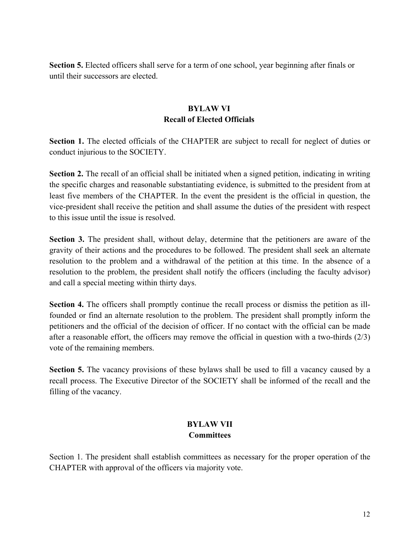**Section 5.** Elected officers shall serve for a term of one school, year beginning after finals or until their successors are elected.

#### **BYLAW VI Recall of Elected Officials**

**Section 1.** The elected officials of the CHAPTER are subject to recall for neglect of duties or conduct injurious to the SOCIETY.

**Section 2.** The recall of an official shall be initiated when a signed petition, indicating in writing the specific charges and reasonable substantiating evidence, is submitted to the president from at least five members of the CHAPTER. In the event the president is the official in question, the vice-president shall receive the petition and shall assume the duties of the president with respect to this issue until the issue is resolved.

**Section 3.** The president shall, without delay, determine that the petitioners are aware of the gravity of their actions and the procedures to be followed. The president shall seek an alternate resolution to the problem and a withdrawal of the petition at this time. In the absence of a resolution to the problem, the president shall notify the officers (including the faculty advisor) and call a special meeting within thirty days.

**Section 4.** The officers shall promptly continue the recall process or dismiss the petition as illfounded or find an alternate resolution to the problem. The president shall promptly inform the petitioners and the official of the decision of officer. If no contact with the official can be made after a reasonable effort, the officers may remove the official in question with a two-thirds (2/3) vote of the remaining members.

**Section 5.** The vacancy provisions of these bylaws shall be used to fill a vacancy caused by a recall process. The Executive Director of the SOCIETY shall be informed of the recall and the filling of the vacancy.

## **BYLAW VII Committees**

Section 1. The president shall establish committees as necessary for the proper operation of the CHAPTER with approval of the officers via majority vote.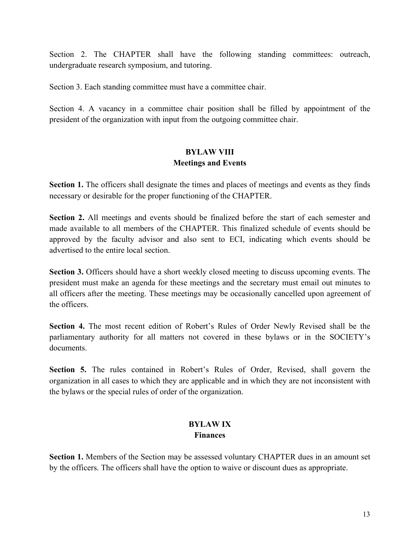Section 2. The CHAPTER shall have the following standing committees: outreach, undergraduate research symposium, and tutoring.

Section 3. Each standing committee must have a committee chair.

Section 4. A vacancy in a committee chair position shall be filled by appointment of the president of the organization with input from the outgoing committee chair.

### **BYLAW VIII Meetings and Events**

Section 1. The officers shall designate the times and places of meetings and events as they finds necessary or desirable for the proper functioning of the CHAPTER.

**Section 2.** All meetings and events should be finalized before the start of each semester and made available to all members of the CHAPTER. This finalized schedule of events should be approved by the faculty advisor and also sent to ECI, indicating which events should be advertised to the entire local section.

**Section 3.** Officers should have a short weekly closed meeting to discuss upcoming events. The president must make an agenda for these meetings and the secretary must email out minutes to all officers after the meeting. These meetings may be occasionally cancelled upon agreement of the officers.

**Section 4.** The most recent edition of Robert's Rules of Order Newly Revised shall be the parliamentary authority for all matters not covered in these bylaws or in the SOCIETY's documents.

**Section 5.** The rules contained in Robert's Rules of Order, Revised, shall govern the organization in all cases to which they are applicable and in which they are not inconsistent with the bylaws or the special rules of order of the organization.

## **BYLAW IX Finances**

**Section 1.** Members of the Section may be assessed voluntary CHAPTER dues in an amount set by the officers. The officers shall have the option to waive or discount dues as appropriate.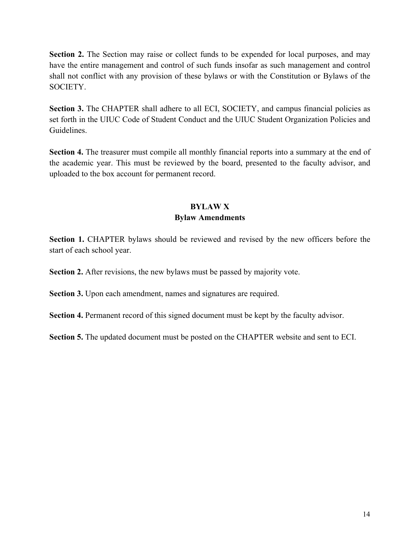**Section 2.** The Section may raise or collect funds to be expended for local purposes, and may have the entire management and control of such funds insofar as such management and control shall not conflict with any provision of these bylaws or with the Constitution or Bylaws of the SOCIETY.

**Section 3.** The CHAPTER shall adhere to all ECI, SOCIETY, and campus financial policies as set forth in the UIUC Code of Student Conduct and the UIUC Student Organization Policies and Guidelines.

**Section 4.** The treasurer must compile all monthly financial reports into a summary at the end of the academic year. This must be reviewed by the board, presented to the faculty advisor, and uploaded to the box account for permanent record.

## **BYLAW X Bylaw Amendments**

**Section 1.** CHAPTER bylaws should be reviewed and revised by the new officers before the start of each school year.

**Section 2.** After revisions, the new bylaws must be passed by majority vote.

**Section 3.** Upon each amendment, names and signatures are required.

**Section 4.** Permanent record of this signed document must be kept by the faculty advisor.

**Section 5.** The updated document must be posted on the CHAPTER website and sent to ECI.